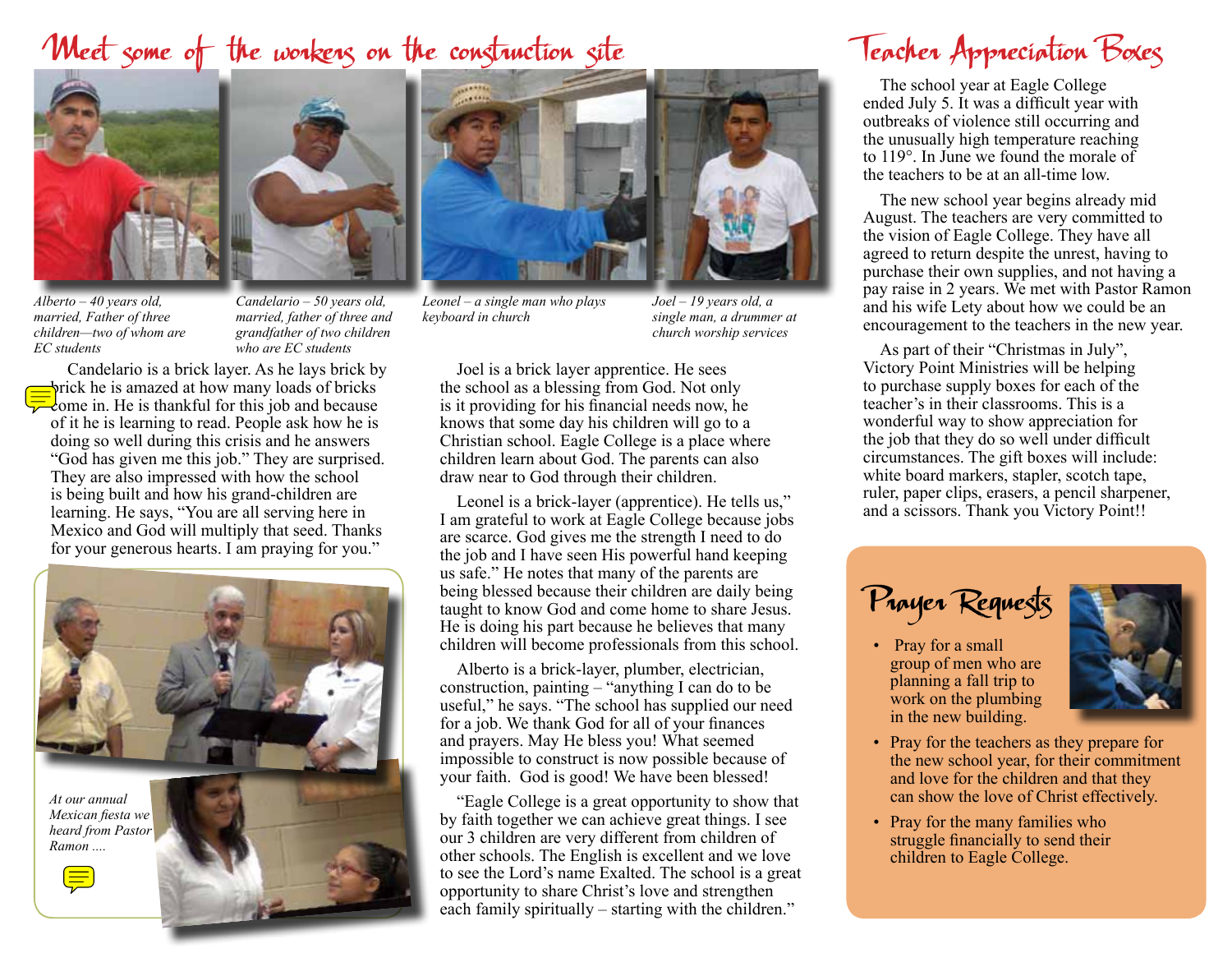## Weet some of the workers on the construction site





*Alberto – 40 years old, married, Father of three children—two of whom are EC students*

*Candelario – 50 years old, married, father of three and grandfather of two children who are EC students*

Candelario is a brick layer. As he lays brick by prick he is amazed at how many loads of bricks  $\sqrt{\frac{1}{c}}$  come in. He is thankful for this job and because of it he is learning to read. People ask how he is doing so well during this crisis and he answers "God has given me this job." They are surprised. They are also impressed with how the school is being built and how his grand-children are learning. He says, "You are all serving here in Mexico and God will multiply that seed. Thanks for your generous hearts. I am praying for you."





*Leonel – a single man who plays keyboard in church*

*Joel – 19 years old, a single man, a drummer at church worship services*

Joel is a brick layer apprentice. He sees the school as a blessing from God. Not only is it providing for his financial needs now, he knows that some day his children will go to a Christian school. Eagle College is a place where children learn about God. The parents can also draw near to God through their children.

Leonel is a brick-layer (apprentice). He tells us," I am grateful to work at Eagle College because jobs are scarce. God gives me the strength I need to do the job and I have seen His powerful hand keeping us safe." He notes that many of the parents are being blessed because their children are daily being taught to know God and come home to share Jesus. He is doing his part because he believes that many children will become professionals from this school.

Alberto is a brick-layer, plumber, electrician, construction, painting – "anything I can do to be useful," he says. "The school has supplied our need for a job. We thank God for all of your finances and prayers. May He bless you! What seemed impossible to construct is now possible because of your faith. God is good! We have been blessed!

"Eagle College is a great opportunity to show that by faith together we can achieve great things. I see our 3 children are very different from children of other schools. The English is excellent and we love to see the Lord's name Exalted. The school is a great opportunity to share Christ's love and strengthen each family spiritually – starting with the children."

# Teacher Appreciation Boxes

The school year at Eagle College ended July 5. It was a difficult year with outbreaks of violence still occurring and the unusually high temperature reaching to 119°. In June we found the morale of the teachers to be at an all-time low.

The new school year begins already mid August. The teachers are very committed to the vision of Eagle College. They have all agreed to return despite the unrest, having to purchase their own supplies, and not having a pay raise in 2 years. We met with Pastor Ramon and his wife Lety about how we could be an encouragement to the teachers in the new year.

As part of their "Christmas in July", Victory Point Ministries will be helping to purchase supply boxes for each of the teacher's in their classrooms. This is a wonderful way to show appreciation for the job that they do so well under difficult circumstances. The gift boxes will include: white board markers, stapler, scotch tape, ruler, paper clips, erasers, a pencil sharpener, and a scissors. Thank you Victory Point!!

Prayer Requests

• Pray for a small group of men who are planning a fall trip to work on the plumbing in the new building.



- Pray for the teachers as they prepare for the new school year, for their commitment and love for the children and that they can show the love of Christ effectively.
- Pray for the many families who struggle financially to send their children to Eagle College.